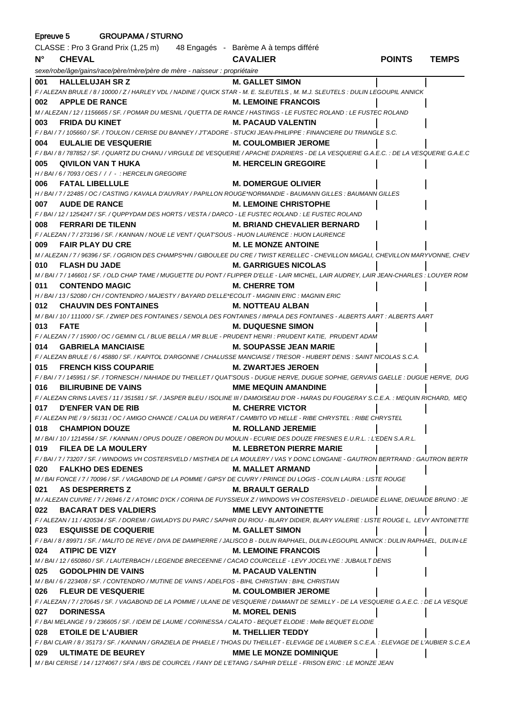| <b>GROUPAMA / STURNO</b><br>Epreuve 5 |                                                                                                                                              |                                    |               |              |  |
|---------------------------------------|----------------------------------------------------------------------------------------------------------------------------------------------|------------------------------------|---------------|--------------|--|
|                                       | CLASSE : Pro 3 Grand Prix (1,25 m) 48 Engagés - Barème A à temps différé                                                                     |                                    |               |              |  |
| $N^{\circ}$                           | <b>CHEVAL</b>                                                                                                                                | <b>CAVALIER</b>                    | <b>POINTS</b> | <b>TEMPS</b> |  |
|                                       | sexe/robe/âge/gains/race/père/mère/père de mère - naisseur : propriétaire                                                                    |                                    |               |              |  |
| 001                                   | <b>HALLELUJAH SR Z</b>                                                                                                                       | <b>M. GALLET SIMON</b>             |               |              |  |
|                                       | F / ALEZAN BRULE / 8 / 10000 / Z / HARLEY VDL / NADINE / QUICK STAR - M. E. SLEUTELS, M. M.J. SLEUTELS : DULIN LEGOUPIL ANNICK               |                                    |               |              |  |
| 002                                   | <b>APPLE DE RANCE</b>                                                                                                                        | <b>M. LEMOINE FRANCOIS</b>         |               |              |  |
|                                       | M / ALEZAN / 12 / 1156665 / SF. / POMAR DU MESNIL / QUETTA DE RANCE / HASTINGS - LE FUSTEC ROLAND : LE FUSTEC ROLAND                         |                                    |               |              |  |
| 003                                   | <b>FRIDA DU KINET</b>                                                                                                                        | <b>M. PACAUD VALENTIN</b>          |               |              |  |
|                                       | F / BAI / 7 / 105660 / SF. / TOULON / CERISE DU BANNEY / J'TADORE - STUCKI JEAN-PHILIPPE : FINANCIERE DU TRIANGLE S.C.                       |                                    |               |              |  |
| 004                                   | <b>EULALIE DE VESQUERIE</b>                                                                                                                  | M. COULOMBIER JEROME               |               |              |  |
|                                       | F / BAI / 8 / 787852 / SF. / QUARTZ DU CHANU / VIRGULE DE VESQUERIE / APACHE D'ADRIERS - DE LA VESQUERIE G.A.E.C. : DE LA VESQUERIE G.A.E.C  |                                    |               |              |  |
| 005                                   | QIVILON VAN T HUKA                                                                                                                           | <b>M. HERCELIN GREGOIRE</b>        |               |              |  |
|                                       | H / BAI / 6 / 7093 / OES / / / - : HERCELIN GREGOIRE                                                                                         |                                    |               |              |  |
| 006                                   | <b>FATAL LIBELLULE</b>                                                                                                                       | <b>M. DOMERGUE OLIVIER</b>         |               |              |  |
|                                       | H / BAI / 7 / 22485 / OC / CASTING / KAVALA D'AUVRAY / PAPILLON ROUGE*NORMANDIE - BAUMANN GILLES : BAUMANN GILLES                            |                                    |               |              |  |
| 007                                   | <b>AUDE DE RANCE</b><br>F / BAI / 12 / 1254247 / SF. / QUPPYDAM DES HORTS / VESTA / DARCO - LE FUSTEC ROLAND : LE FUSTEC ROLAND              | <b>M. LEMOINE CHRISTOPHE</b>       |               |              |  |
| 008                                   | <b>FERRARI DE TILENN</b>                                                                                                                     | <b>M. BRIAND CHEVALIER BERNARD</b> |               |              |  |
|                                       | F / ALEZAN / 7 / 273196 / SF. / KANNAN / NOUE LE VENT / QUAT'SOUS - HUON LAURENCE : HUON LAURENCE                                            |                                    |               |              |  |
| 009                                   | <b>FAIR PLAY DU CRE</b>                                                                                                                      | <b>M. LE MONZE ANTOINE</b>         |               |              |  |
|                                       | M / ALEZAN / 7 / 96396 / SF. / OGRION DES CHAMPS*HN / GIBOULEE DU CRE / TWIST KERELLEC - CHEVILLON MAGALI, CHEVILLON MARYVONNE, CHEV         |                                    |               |              |  |
| 010                                   | <b>FLASH DU JADE</b>                                                                                                                         | M. GARRIGUES NICOLAS               |               |              |  |
|                                       | M / BAI / 7 / 146601 / SF. / OLD CHAP TAME / MUGUETTE DU PONT / FLIPPER D'ELLE - LAIR MICHEL, LAIR AUDREY, LAIR JEAN-CHARLES : LOUYER ROM    |                                    |               |              |  |
| 011                                   | <b>CONTENDO MAGIC</b>                                                                                                                        | <b>M. CHERRE TOM</b>               |               |              |  |
|                                       | H / BAI / 13 / 52080 / CH / CONTENDRO / MAJESTY / BAYARD D'ELLE*ECOLIT - MAGNIN ERIC : MAGNIN ERIC                                           |                                    |               |              |  |
| 012                                   | <b>CHAUVIN DES FONTAINES</b>                                                                                                                 | M. NOTTEAU ALBAN                   |               |              |  |
|                                       | M / BAI / 10 / 111000 / SF. / ZWIEP DES FONTAINES / SENOLA DES FONTAINES / IMPALA DES FONTAINES - ALBERTS AART : ALBERTS AART                |                                    |               |              |  |
| 013                                   | <b>FATE</b>                                                                                                                                  | <b>M. DUQUESNE SIMON</b>           |               |              |  |
|                                       | F / ALEZAN / 7 / 15900 / OC / GEMINI CL / BLUE BELLA / MR BLUE - PRUDENT HENRI : PRUDENT KATIE, PRUDENT ADAM                                 |                                    |               |              |  |
| 014                                   | <b>GABRIELA MANCIAISE</b>                                                                                                                    | <b>M. SOUPASSE JEAN MARIE</b>      |               |              |  |
|                                       | F / ALEZAN BRULE / 6 / 45880 / SF. / KAPITOL D'ARGONNE / CHALUSSE MANCIAISE / TRESOR - HUBERT DENIS : SAINT NICOLAS S.C.A.                   |                                    |               |              |  |
| 015                                   | <b>FRENCH KISS COUPARIE</b>                                                                                                                  | <b>M. ZWARTJES JEROEN</b>          |               |              |  |
|                                       | F/BAI/7/145951/SF./TORNESCH/NAHIADE DU THEILLET/QUAT'SOUS - DUGUE HERVE, DUGUE SOPHIE, GERVAIS GAELLE: DUGUE HERVE, DUG                      |                                    |               |              |  |
| 016                                   | <b>BILIRUBINE DE VAINS</b>                                                                                                                   | <b>MME MEQUIN AMANDINE</b>         |               |              |  |
|                                       | F / ALEZAN CRINS LAVES / 11 / 351581 / SF. / JASPER BLEU / ISOLINE III / DAMOISEAU D'OR - HARAS DU FOUGERAY S.C.E.A. : MEQUIN RICHARD, MEQ   |                                    |               |              |  |
| 017                                   | <b>D'ENFER VAN DE RIB</b>                                                                                                                    | <b>M. CHERRE VICTOR</b>            |               |              |  |
| 018                                   | F / ALEZAN PIE / 9 / 56131 / OC / AMIGO CHANCE / CALUA DU WERFAT / CAMBITO VD HELLE - RIBE CHRYSTEL : RIBE CHRYSTEL<br><b>CHAMPION DOUZE</b> | <b>M. ROLLAND JEREMIE</b>          |               |              |  |
|                                       | M / BAI / 10 / 1214564 / SF. / KANNAN / OPUS DOUZE / OBERON DU MOULIN - ECURIE DES DOUZE FRESNES E.U.R.L. : L'EDEN S.A.R.L.                  |                                    |               |              |  |
| 019                                   | <b>FILEA DE LA MOULERY</b>                                                                                                                   | <b>M. LEBRETON PIERRE MARIE</b>    |               |              |  |
|                                       | F / BAI / 7 / 73207 / SF. / WINDOWS VH COSTERSVELD / MISTHEA DE LA MOULERY / VAS Y DONC LONGANE - GAUTRON BERTRAND : GAUTRON BERTR           |                                    |               |              |  |
| 020                                   | <b>FALKHO DES EDENES</b>                                                                                                                     | <b>M. MALLET ARMAND</b>            |               |              |  |
|                                       | M / BAI FONCE / 7 / 70096 / SF. / VAGABOND DE LA POMME / GIPSY DE CUVRY / PRINCE DU LOGIS - COLIN LAURA : LISTE ROUGE                        |                                    |               |              |  |
| 021                                   | <b>AS DESPERRETS Z</b>                                                                                                                       | <b>M. BRAULT GERALD</b>            |               |              |  |
|                                       | M / ALEZAN CUIVRE / 7 / 26946 / Z / ATOMIC D'ICK / CORINA DE FUYSSIEUX Z / WINDOWS VH COSTERSVELD - DIEUAIDE ELIANE, DIEUAIDE BRUNO : JE     |                                    |               |              |  |
| 022                                   | <b>BACARAT DES VALDIERS</b>                                                                                                                  | <b>MME LEVY ANTOINETTE</b>         |               |              |  |
|                                       | F / ALEZAN / 11 / 420534 / SF. / DOREMI / GWLADYS DU PARC / SAPHIR DU RIOU - BLARY DIDIER, BLARY VALERIE : LISTE ROUGE L, LEVY ANTOINETTE    |                                    |               |              |  |
| 023                                   | <b>ESQUISSE DE COQUERIE</b>                                                                                                                  | <b>M. GALLET SIMON</b>             |               |              |  |
|                                       | F / BAI / 8 / 89971 / SF. / MALITO DE REVE / DIVA DE DAMPIERRE / JALISCO B - DULIN RAPHAEL, DULIN-LEGOUPIL ANNICK : DULIN RAPHAEL, DULIN-LE  |                                    |               |              |  |
| 024                                   | <b>ATIPIC DE VIZY</b>                                                                                                                        | <b>M. LEMOINE FRANCOIS</b>         |               |              |  |
|                                       | M / BAI / 12 / 650860 / SF. / LAUTERBACH / LEGENDE BRECEENNE / CACAO COURCELLE - LEVY JOCELYNE : JUBAULT DENIS                               |                                    |               |              |  |
| 025                                   | <b>GODOLPHIN DE VAINS</b>                                                                                                                    | M. PACAUD VALENTIN                 |               |              |  |
|                                       | M/BAI/6/223408/SF./CONTENDRO/MUTINE DE VAINS/ADELFOS - BIHL CHRISTIAN : BIHL CHRISTIAN                                                       |                                    |               |              |  |
| 026                                   | <b>FLEUR DE VESQUERIE</b>                                                                                                                    | <b>M. COULOMBIER JEROME</b>        |               |              |  |
|                                       | F / ALEZAN / 7 / 270645 / SF. / VAGABOND DE LA POMME / ULANE DE VESQUERIE / DIAMANT DE SEMILLY - DE LA VESQUERIE G.A.E.C. : DE LA VESQUE     |                                    |               |              |  |
| 027                                   | <b>DORINESSA</b>                                                                                                                             | <b>M. MOREL DENIS</b>              |               |              |  |
| 028                                   | F / BAI MELANGE / 9 / 236605 / SF. / IDEM DE LAUME / CORINESSA / CALATO - BEQUET ELODIE : Melle BEQUET ELODIE<br><b>ETOILE DE L'AUBIER</b>   | <b>M. THELLIER TEDDY</b>           |               |              |  |
|                                       | F / BAI CLAIR / 8 / 35173 / SF. / KANNAN / GRAZIELA DE PHAELE / THOAS DU THEILLET - ELEVAGE DE L'AUBIER S.C.E.A                              |                                    |               |              |  |
| 029                                   | <b>ULTIMATE DE BEUREY</b>                                                                                                                    | <b>MME LE MONZE DOMINIQUE</b>      |               |              |  |
|                                       | M / BAI CERISE / 14 / 1274067 / SFA / IBIS DE COURCEL / FANY DE L'ETANG / SAPHIR D'ELLE - FRISON ERIC : LE MONZE JEAN                        |                                    |               |              |  |